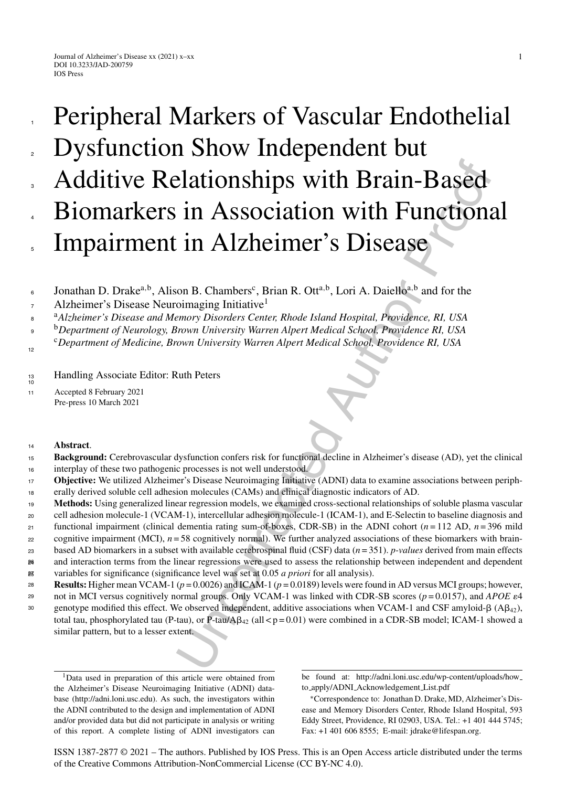# **Example 1.1 Alth Brain-Based**<br> **In Association with Brain-Based**<br> **In Alzheimer's Disease**<br>
on B. Chambers', Brian R. Ott<sup>a,b</sup>, Lori A. Daiello<sup>c,b</sup> and for the<br>
comaging Initiative<sup>1</sup><br> *Emory Disorders Center, Rhode* Peripheral Markers of Vascular Endothelial Dysfunction Show Independent but Additive Relationships with Brain-Based Biomarkers in Association with Functional Impairment in Alzheimer's Disease 1 2 3 4 5

Jonathan D. Drake<sup>a,b</sup>, Alison B. Chambers<sup>c</sup>, Brian R. Ott<sup>a,b</sup>, Lori A. Daiello<sup>a,b</sup> and for the 6

Alzheimer's Disease Neuroimaging Initiative1 7

<sup>a</sup> <sup>8</sup> *Alzheimer's Disease and Memory Disorders Center, Rhode Island Hospital, Providence, RI, USA*

<sup>b</sup> <sup>9</sup> *Department of Neurology, Brown University Warren Alpert Medical School, Providence RI, USA*

<sup>c</sup>*Department of Medicine, Brown University Warren Alpert Medical School, Providence RI, USA* 12

13<br>10 Handling Associate Editor: Ruth Peters

<sup>11</sup> Accepted 8 February 2021 Pre-press 10 March 2021

# <sup>14</sup> **Abstract**.

**Background:** Cerebrovascular dysfunction confers risk for functional decline in Alzheimer's disease (AD), yet the clinical interplay of these two pathogenic processes is not well understood. 15 16

- **Objective:** We utilized Alzheimer's Disease Neuroimaging Initiative (ADNI) data to examine associations between periph-17
- erally derived soluble cell adhesion molecules (CAMs) and clinical diagnostic indicators of AD. 18
- **Methods:** Using generalized linear regression models, we examined cross-sectional relationships of soluble plasma vascular 19
- cell adhesion molecule-1 (VCAM-1), intercellular adhesion molecule-1 (ICAM-1), and E-Selectin to baseline diagnosis and 20
- functional impairment (clinical dementia rating sum-of-boxes, CDR-SB) in the ADNI cohort  $(n=112 \text{ AD}, n=396 \text{ mild})$ 21
- cognitive impairment (MCI),  $n = 58$  cognitively normal). We further analyzed associations of these biomarkers with brain-22
- based AD biomarkers in a subset with available cerebrospinal fluid (CSF) data (*n* = 351). *p-values* derived from main effects 23
- and interaction terms from the linear regressions were used to assess the relationship between independent and dependent 24 26
- variables for significance (significance level was set at 0.05 *a priori* for all analysis). 25 27
- **Results:** Higher mean VCAM-1 (*p* = 0.0026) and ICAM-1 (*p* = 0.0189) levels were found in AD versus MCI groups; however, 28
- not in MCI versus cognitively normal groups. Only VCAM-1 was linked with CDR-SB scores ( $p = 0.0157$ ), and *APOE*  $\varepsilon$ 4 29 30
	- genotype modified this effect. We observed independent, additive associations when VCAM-1 and CSF amyloid- $\beta$  (A $\beta_{42}$ ), total tau, phosphorylated tau (P-tau), or P-tau/A $\beta_{42}$  (all < p = 0.01) were combined in a CDR-SB model; ICAM-1 showed a similar pattern, but to a lesser extent.

ISSN 1387-2877 © 2021 – The authors. Published by IOS Press. This is an Open Access article distributed under the terms of the [Creative Commons Attribution-NonCommercial License \(CC BY-NC 4.0\).](https://creativecommons.org/licenses/by-nc/4.0/)

<sup>&</sup>lt;sup>1</sup>Data used in preparation of this article were obtained from the Alzheimer's Disease Neuroimaging Initiative (ADNI) database (<http://adni.loni.usc.edu>). As such, the investigators within the ADNI contributed to the design and implementation of ADNI and/or provided data but did not participate in analysis or writing of this report. A complete listing of ADNI investigators can

be found at: [http://adni.loni.usc.edu/wp-content/uploads/how](http://adni.loni.usc.edu/wp-content/uploads/how_to_apply/ADNI_Acknowledgement_List.pdf) to apply/ADNI Acknowledgement List.pdf

<sup>∗</sup>Correspondence to: Jonathan D. Drake, MD, Alzheimer's Disease and Memory Disorders Center, Rhode Island Hospital, 593 Eddy Street, Providence, RI 02903, USA. Tel.: +1 401 444 5745; Fax: +1 401 606 8555; E-mail: [jdrake@lifespan.org](mailto:jdrake@lifespan.org).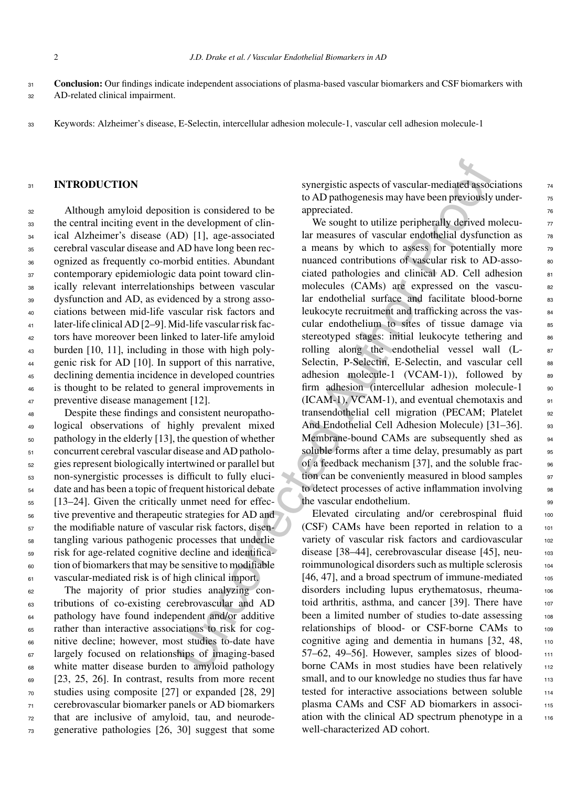**Conclusion:** Our findings indicate independent associations of plasma-based vascular biomarkers and CSF biomarkers with AD-related clinical impairment. 31  $32$ 

<sup>33</sup> Keywords: Alzheimer's disease, E-Selectin, intercellular adhesion molecule-1, vascular cell adhesion molecule-1

## 31 **INTRODUCTION**

 Although amyloid deposition is considered to be the central inciting event in the development of clin- ical Alzheimer's disease (AD) [1], age-associated cerebral vascular disease and AD have long been rec- ognized as frequently co-morbid entities. Abundant contemporary epidemiologic data point toward clin- ically relevant interrelationships between vascular dysfunction and AD, as evidenced by a strong asso- ciations between mid-life vascular risk factors and later-life clinical AD [2–9]. Mid-life vascular risk fac- tors have moreover been linked to later-life amyloid burden [10, 11], including in those with high poly- genic risk for AD [10]. In support of this narrative, declining dementia incidence in developed countries is thought to be related to general improvements in preventive disease management [12].

 Despite these findings and consistent neuropatho- logical observations of highly prevalent mixed pathology in the elderly [13], the question of whether concurrent cerebral vascular disease and AD patholo- gies represent biologically intertwined or parallel but non-synergistic processes is difficult to fully eluci- date and has been a topic of frequent historical debate [13–24]. Given the critically unmet need for effec- tive preventive and therapeutic strategies for AD and the modifiable nature of vascular risk factors, disen- tangling various pathogenic processes that underlie risk for age-related cognitive decline and identifica- tion of biomarkers that may be sensitive to modifiable vascular-mediated risk is of high clinical import.

 The majority of prior studies analyzing con- tributions of co-existing cerebrovascular and AD <sup>64</sup> pathology have found independent and/or additive rather than interactive associations to risk for cog- nitive decline; however, most studies to-date have largely focused on relationships of imaging-based white matter disease burden to amyloid pathology [23, 25, 26]. In contrast, results from more recent studies using composite [27] or expanded [28, 29] cerebrovascular biomarker panels or AD biomarkers that are inclusive of amyloid, tau, and neurode-generative pathologies [26, 30] suggest that some synergistic aspects of vascular-mediated associations  $\frac{74}{6}$ to AD pathogenesis may have been previously underappreciated.

synergistic aspects of vascular-mediated assoc<br>
to AD parbogenesis may have been previously<br>
the development of the coupling and the measures of vascular endothelial dysfunce<br>
the development of the sound tare measures of We sought to utilize peripherally derived molecu- $\frac{77}{20}$ lar measures of vascular endothelial dysfunction as  $\frac{78}{10}$ a means by which to assess for potentially more  $\frac{79}{20}$ nuanced contributions of vascular risk to AD-associated pathologies and clinical AD. Cell adhesion 81 molecules (CAMs) are expressed on the vascular endothelial surface and facilitate blood-borne 83 leukocyte recruitment and trafficking across the vascular endothelium to sites of tissue damage via s stereotyped stages: initial leukocyte tethering and 86 rolling along the endothelial vessel wall (L- 87 Selectin, P-Selectin, E-Selectin, and vascular cell 88 adhesion molecule-1 (VCAM-1)), followed by  $89$ firm adhesion (intercellular adhesion molecule-1 90  $(ICAM-1)$ , VCAM-1), and eventual chemotaxis and  $\qquad \qquad$ 91 transendothelial cell migration (PECAM; Platelet 92 And Endothelial Cell Adhesion Molecule) [31–36]. 93 Membrane-bound CAMs are subsequently shed as 94 soluble forms after a time delay, presumably as part 95 of a feedback mechanism [37], and the soluble frac- 96 tion can be conveniently measured in blood samples 97 to detect processes of active inflammation involving 98 the vascular endothelium.  $\frac{99}{20}$ 

Elevated circulating and/or cerebrospinal fluid 100 (CSF) CAMs have been reported in relation to a  $101$ variety of vascular risk factors and cardiovascular 102 disease [38–44], cerebrovascular disease [45], neuroimmunological disorders such as multiple sclerosis <sup>104</sup>  $[46, 47]$ , and a broad spectrum of immune-mediated  $105$ disorders including lupus erythematosus, rheuma- 106 toid arthritis, asthma, and cancer [39]. There have 107 been a limited number of studies to-date assessing 108 relationships of blood- or CSF-borne CAMs to 109 cognitive aging and dementia in humans  $[32, 48, \dots]$ 57–62, 49–56]. However, samples sizes of blood- <sup>111</sup> borne CAMs in most studies have been relatively 112 small, and to our knowledge no studies thus far have 113 tested for interactive associations between soluble 114 plasma CAMs and CSF AD biomarkers in association with the clinical AD spectrum phenotype in a 116 well-characterized AD cohort.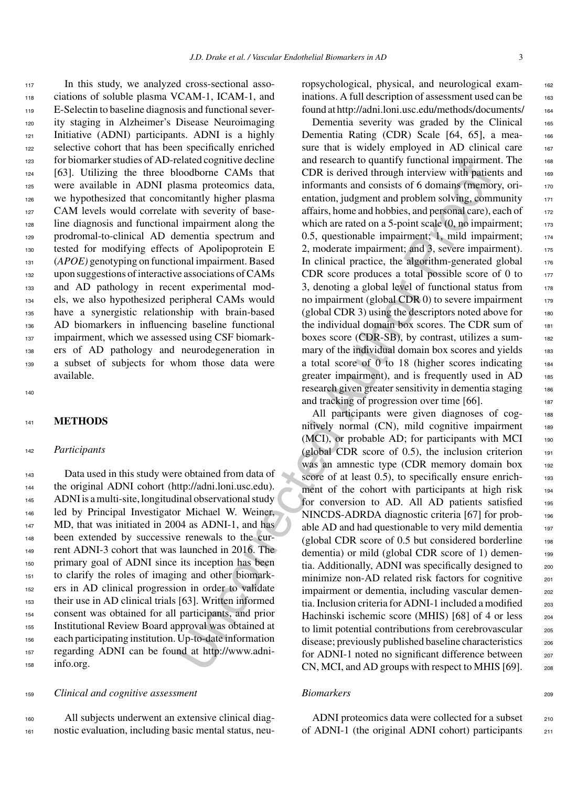In this study, we analyzed cross-sectional asso- ciations of soluble plasma VCAM-1, ICAM-1, and E-Selectin to baseline diagnosis and functional sever- ity staging in Alzheimer's Disease Neuroimaging Initiative (ADNI) participants. ADNI is a highly 122 selective cohort that has been specifically enriched for biomarker studies of AD-related cognitive decline [63]. Utilizing the three bloodborne CAMs that were available in ADNI plasma proteomics data, we hypothesized that concomitantly higher plasma 127 CAM levels would correlate with severity of base- line diagnosis and functional impairment along the prodromal-to-clinical AD dementia spectrum and tested for modifying effects of Apolipoprotein E (*APOE)* genotyping on functional impairment. Based upon suggestions of interactive associations of CAMs and AD pathology in recent experimental mod- els, we also hypothesized peripheral CAMs would have a synergistic relationship with brain-based AD biomarkers in influencing baseline functional 137 impairment, which we assessed using CSF biomark- ers of AD pathology and neurodegeneration in a subset of subjects for whom those data were available.

140

#### <sup>141</sup> **METHODS**

## <sup>142</sup> *Participants*

 Data used in this study were obtained from data of the original ADNI cohort ([http://adni.loni.usc.edu\)](http://adni.loni.usc.edu). ADNI is a multi-site, longitudinal observational study led by Principal Investigator Michael W. Weiner, 147 MD, that was initiated in 2004 as ADNI-1, and has been extended by successive renewals to the cur- rent ADNI-3 cohort that was launched in 2016. The primary goal of ADNI since its inception has been to clarify the roles of imaging and other biomark- ers in AD clinical progression in order to validate their use in AD clinical trials [63]. Written informed consent was obtained for all participants, and prior Institutional Review Board approval was obtained at each participating institution. Up-to-date information regarding ADNI can be found at http://www.adni-info.org.

# <sup>159</sup> *Clinical and cognitive assessment*

<sup>160</sup> All subjects underwent an extensive clinical diag-<sup>161</sup> nostic evaluation, including basic mental status, neuropsychological, physical, and neurological exam- <sup>162</sup> inations. A full description of assessment used can be 163 found at<http://adni.loni.usc.edu/methods/documents/> <sup>164</sup>

Dementia severity was graded by the Clinical 165 Dementia Rating (CDR) Scale [64, 65], a measure that is widely employed in AD clinical care 167 and research to quantify functional impairment. The 168  $CDR$  is derived through interview with patients and  $169$ informants and consists of 6 domains (memory, orientation, judgment and problem solving, community 171 affairs, home and hobbies, and personal care), each of  $172$ which are rated on a 5-point scale  $(0, no\; impairment;$  173 0.5, questionable impairment; 1, mild impairment; 174 2, moderate impairment; and 3, severe impairment). 175 In clinical practice, the algorithm-generated global  $176$ CDR score produces a total possible score of 0 to  $177$ 3, denoting a global level of functional status from  $178$ no impairment (global CDR  $0$ ) to severe impairment  $179$ (global CDR 3) using the descriptors noted above for  $180$ the individual domain box scores. The CDR sum of 181 boxes score (CDR-SB), by contrast, utilizes a sum- <sup>182</sup> mary of the individual domain box scores and yields 183 a total score of 0 to 18 (higher scores indicating 184 greater impairment), and is frequently used in AD 185 research given greater sensitivity in dementia staging 186 and tracking of progression over time [66].

eliated cognitive decime and research to quantity pinctional mpagnment<br>and proparities and research to quantity pincerions and consider mixture policies and information independent and consists of 6 domains mean proteins i All participants were given diagnoses of cog-<br>188 nitively normal (CN), mild cognitive impairment 189 (MCI), or probable AD; for participants with MCI 190 (global CDR score of  $(0.5)$ , the inclusion criterion  $191$ was an amnestic type (CDR memory domain box 192 score of at least 0.5), to specifically ensure enrichment of the cohort with participants at high risk 194 for conversion to AD. All AD patients satisfied 195 NINCDS-ADRDA diagnostic criteria [67] for prob- <sup>196</sup> able AD and had questionable to very mild dementia 197 (global CDR score of  $0.5$  but considered borderline  $198$ dementia) or mild (global CDR score of 1) dementia. Additionally, ADNI was specifically designed to 200 minimize non-AD related risk factors for cognitive 201 impairment or dementia, including vascular dementia. Inclusion criteria for ADNI-1 included a modified  $_{203}$ Hachinski ischemic score (MHIS) [68] of 4 or less 204 to limit potential contributions from cerebrovascular 205 disease; previously published baseline characteristics 206 for ADNI-1 noted no significant difference between 207 CN, MCI, and AD groups with respect to MHIS [69]. 208

## *Biomarkers* 209

ADNI proteomics data were collected for a subset 210 of ADNI-1 (the original ADNI cohort) participants <sup>211</sup>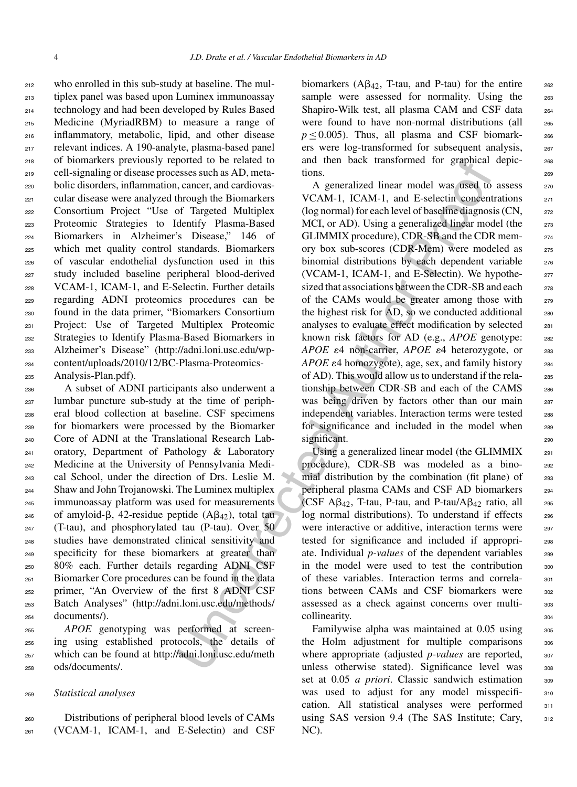who enrolled in this sub-study at baseline. The mul- tiplex panel was based upon Luminex immunoassay technology and had been developed by Rules Based Medicine (MyriadRBM) to measure a range of inflammatory, metabolic, lipid, and other disease relevant indices. A 190-analyte, plasma-based panel of biomarkers previously reported to be related to cell-signaling or disease processes such as AD, meta- bolic disorders, inflammation, cancer, and cardiovas- cular disease were analyzed through the Biomarkers Consortium Project "Use of Targeted Multiplex Proteomic Strategies to Identify Plasma-Based Biomarkers in Alzheimer's Disease," 146 of which met quality control standards. Biomarkers of vascular endothelial dysfunction used in this study included baseline peripheral blood-derived VCAM-1, ICAM-1, and E-Selectin. Further details regarding ADNI proteomics procedures can be found in the data primer, "Biomarkers Consortium Project: Use of Targeted Multiplex Proteomic Strategies to Identify Plasma-Based Biomarkers in Alzheimer's Disease" (http://adni.loni.usc.edu/wp- content/uploads/2010/12/BC-Plasma-Proteomics-Analysis-Plan.pdf).

 A subset of ADNI participants also underwent a lumbar puncture sub-study at the time of periph- eral blood collection at baseline. CSF specimens for biomarkers were processed by the Biomarker Core of ADNI at the Translational Research Lab- oratory, Department of Pathology & Laboratory Medicine at the University of Pennsylvania Medi- cal School, under the direction of Drs. Leslie M. Shaw and John Trojanowski. The Luminex multiplex immunoassay platform was used for measurements <sup>246</sup> of amyloid- $\beta$ , 42-residue peptide  $(A\beta_{42})$ , total tau (T-tau), and phosphorylated tau (P-tau). Over 50 studies have demonstrated clinical sensitivity and specificity for these biomarkers at greater than 80% each. Further details regarding ADNI CSF Biomarker Core procedures can be found in the data primer, "An Overview of the first 8 ADNI CSF Batch Analyses" (http://adni.loni.usc.edu/methods/ documents/).

 *APOE* genotyping was performed at screen- ing using established protocols, the details of which can be found at http://adni.loni.usc.edu/meth ods/documents/.

## <sup>259</sup> *Statistical analyses*

<sup>260</sup> Distributions of peripheral blood levels of CAMs <sup>261</sup> (VCAM-1, ICAM-1, and E-Selectin) and CSF

biomarkers ( $\mathbf{A}\mathbf{B}_{42}$ , T-tau, and P-tau) for the entire 262 sample were assessed for normality. Using the 263 Shapiro-Wilk test, all plasma CAM and CSF data 264 were found to have non-normal distributions (all 265  $p \le 0.005$ ). Thus, all plasma and CSF biomark- 266 ers were log-transformed for subsequent analysis, <sup>267</sup> and then back transformed for graphical depic- <sup>268</sup> tions. 269

ported to be related to<br>
en[c](http://adni.loni.usc.edu/methods/documents/)el and [th](http://adni.loni.usc.edu/wp-content/uploads/2010/12/BC-Plasma-Proteomics-Analysis-Plan.pdf)en back transformed for graphical<br>
ences esses such as AD, meta-<br>
ions.<br>
esses such as AD, meta-<br>
ions.<br>
esses such as AD, meta-<br>
ions.<br>
According the Biomarkets<br>
VCAM-1, ICAM-1, and E A generalized linear model was used to assess 270 VCAM-1, ICAM-1, and E-selectin concentrations 271 (log normal) for each level of baseline diagnosis  $(CN,$  272 MCI, or AD). Using a generalized linear model (the 273 GLIMMIX procedure), CDR-SB and the CDR mem- <sup>274</sup> ory box sub-scores (CDR-Mem) were modeled as <sup>275</sup> binomial distributions by each dependent variable 276 (VCAM-1, ICAM-1, and E-Selectin). We hypothe- $_{277}$ sized that associations between the CDR-SB and each 278 of the CAMs would be greater among those with 279 the highest risk for  $AD$ , so we conducted additional  $280$ analyses to evaluate effect modification by selected <sup>281</sup> known risk factors for AD (e.g., *APOE* genotype: 282 *APOE*  $\varepsilon$ 4 non-carrier, *APOE*  $\varepsilon$ 4 heterozygote, or 283 *APOE*  $\varepsilon$ 4 homozygote), age, sex, and family history <sub>284</sub> of AD). This would allow us to understand if the rela- <sup>285</sup> tionship between CDR-SB and each of the CAMS 286 was being driven by factors other than our main 287 independent variables. Interaction terms were tested 288 for significance and included in the model when 289 significant.

Using a generalized linear model (the GLIMMIX 291 procedure), CDR-SB was modeled as a bino- <sup>292</sup> mial distribution by the combination (fit plane) of  $293$ peripheral plasma CAMs and CSF AD biomarkers <sup>294</sup> (CSF  $\mathbf{A}\beta_{42}$ , T-tau, P-tau, and P-tau/ $\mathbf{A}\beta_{42}$  ratio, all 295 log normal distributions). To understand if effects 296 were interactive or additive, interaction terms were 297 tested for significance and included if appropri- <sup>298</sup> ate. Individual *p-values* of the dependent variables 299 in the model were used to test the contribution  $\frac{300}{100}$ of these variables. Interaction terms and correla- <sup>301</sup> tions between CAMs and CSF biomarkers were 302 assessed as a check against concerns over multi- <sup>303</sup> collinearity. 304

Familywise alpha was maintained at 0.05 using  $305$ the Holm adjustment for multiple comparisons 306 where appropriate (adjusted *p*-values are reported, 307 unless otherwise stated). Significance level was 308 set at 0.05 *a priori*. Classic sandwich estimation 309 was used to adjust for any model misspecifi-<br>310 cation. All statistical analyses were performed 311 using SAS version 9.4 (The SAS Institute; Cary, 312 NC).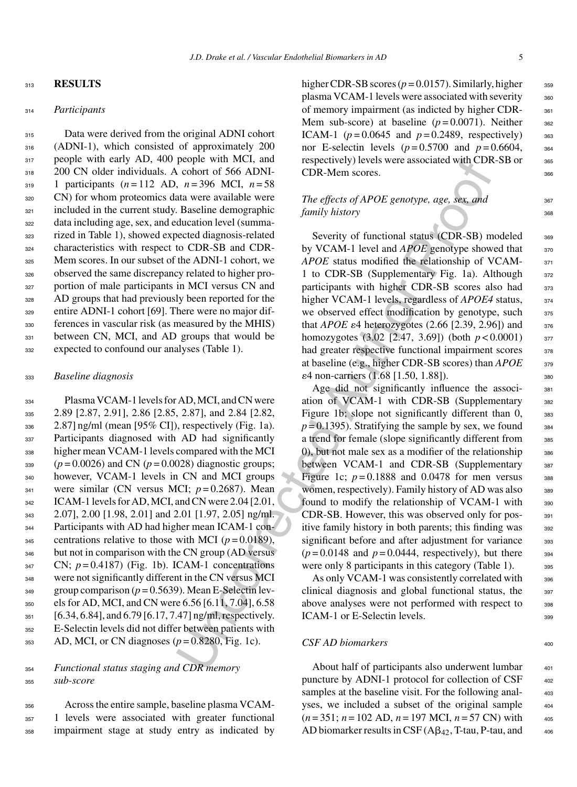#### <sup>313</sup> **RESULTS**

#### <sup>314</sup> *Participants*

 Data were derived from the original ADNI cohort (ADNI-1), which consisted of approximately 200 317 people with early AD, 400 people with MCI, and 318 200 CN older individuals. A cohort of 566 ADNI- 1 participants (*n* = 112 AD, *n* = 396 MCI, *n* = 58 CN) for whom proteomics data were available were 321 included in the current study. Baseline demographic data including age, sex, and education level (summa- rized in Table 1), showed expected diagnosis-related characteristics with respect to CDR-SB and CDR- Mem scores. In our subset of the ADNI-1 cohort, we observed the same discrepancy related to higher pro- portion of male participants in MCI versus CN and AD groups that had previously been reported for the entire ADNI-1 cohort [69]. There were no major dif- ferences in vascular risk (as measured by the MHIS) 331 between CN, MCI, and AD groups that would be expected to confound our analyses (Table 1).

#### <sup>333</sup> *Baseline diagnosis*

 Plasma VCAM-1 levels for AD, MCI, and CN were 2.89 [2.87, 2.91], 2.86 [2.85, 2.87], and 2.84 [2.82, 2.87] ng/ml (mean [95% CI]), respectively (Fig. 1a). Participants diagnosed with AD had significantly higher mean VCAM-1 levels compared with the MCI  $_{339}$  ( $p = 0.0026$ ) and CN ( $p = 0.0028$ ) diagnostic groups; however, VCAM-1 levels in CN and MCI groups were similar (CN versus MCI;  $p = 0.2687$ ). Mean 342 ICAM-1 levels for AD, MCI, and CN were 2.04 [2.01, 2.07], 2.00 [1.98, 2.01] and 2.01 [1.97, 2.05] ng/ml. Participants with AD had higher mean ICAM-1 con- $_{345}$  centrations relative to those with MCI ( $p = 0.0189$ ), <sup>346</sup> but not in comparison with the CN group (AD versus  $S<sub>347</sub>$  CN;  $p = 0.4187$ ) (Fig. 1b). ICAM-1 concentrations were not significantly different in the CN versus MCI  $_{349}$  group comparison ( $p = 0.5639$ ). Mean E-Selectin lev- els for AD, MCI, and CN were 6.56 [6.11, 7.04], 6.58 351 [6.34, 6.84], and 6.79 [6.17, 7.47] ng/ml, respectively. E-Selectin levels did not differ between patients with AD, MCI, or CN diagnoses ( $p = 0.8280$ , Fig. 1c).

## <sup>354</sup> *Functional status staging and CDR memory* <sup>355</sup> *sub-score*

<sup>356</sup> Across the entire sample, baseline plasma VCAM-<sup>357</sup> 1 levels were associated with greater functional <sup>358</sup> impairment stage at study entry as indicated by higher CDR-SB scores ( $p = 0.0157$ ). Similarly, higher  $359$ plasma VCAM-1 levels were associated with severity 360 of memory impairment (as indicted by higher CDR- 361 Mem sub-score) at baseline  $(p=0.0071)$ . Neither  $362$ ICAM-1 ( $p = 0.0645$  and  $p = 0.2489$ , respectively) 363 nor E-selectin levels  $(p=0.5700 \text{ and } p=0.6604,$  364 respectively) levels were associated with CDR-SB or 365 CDR-Mem scores. 366

# *The effects of APOE genotype, age, sex, and* 367 *family history* 368

Severity of functional status (CDR-SB) modeled 369 by VCAM-1 level and *APOE* genotype showed that  $370$ *APOE* status modified the relationship of VCAM- 371 1 to CDR-SB (Supplementary Fig. 1a). Although 372 participants with higher CDR-SB scores also had 373 higher VCAM-1 levels, regardless of *APOE4* status,  $374$ we observed effect modification by genotype, such  $375$ that *APOE*  $\varepsilon$ 4 heterozygotes (2.66 [2.39, 2.96]) and  $\frac{376}{276}$ homozygotes  $(3.02 \, [2.47, 3.69])$  (both  $p < 0.0001$ ) 377 had greater respective functional impairment scores  $378$ at baseline (e.g., higher CDR-SB scores) than *APOE* 379  $\varepsilon$ 4 non-carriers (1.68 [1.50, 1.88]). 380

people with word, and<br>
respectively) levels were associated with CDR<br>
cohord of 566 ADNI<br>
TDR. Mem scores.<br>
and avere available were<br>
The effects of APOE genotype, age, sex and<br>
Baseline demographic<br>
Level in the Automati Age did not significantly influence the associ-<br>381 ation of VCAM-1 with CDR-SB (Supplementary 382 Figure 1b; slope not significantly different than  $0$ ,  $383$  $p = 0.1395$ ). Stratifying the sample by sex, we found  $384$ a trend for female (slope significantly different from 385 0), but not male sex as a modifier of the relationship  $\frac{386}{2}$ between VCAM-1 and CDR-SB (Supplementary 387 Figure 1c;  $p = 0.1888$  and 0.0478 for men versus  $\frac{388}{2}$ women, respectively). Family history of AD was also 389 found to modify the relationship of VCAM-1 with 390 CDR-SB. However, this was observed only for pos-<br>391 itive family history in both parents; this finding was 392 significant before and after adjustment for variance 393  $(p=0.0148$  and  $p=0.0444$ , respectively), but there  $\qquad$ <sub>394</sub> were only 8 participants in this category (Table 1). 395

As only VCAM-1 was consistently correlated with 396 clinical diagnosis and global functional status, the <sup>397</sup> above analyses were not performed with respect to 398 ICAM-1 or E-Selectin levels.

### $CSF AD$  biomarkers 400

About half of participants also underwent lumbar 401 puncture by ADNI-1 protocol for collection of CSF  $_{402}$ samples at the baseline visit. For the following analyses, we included a subset of the original sample  $404$ (*n* = 351; *n* = 102 AD, *n* = 197 MCI, *n* = 57 CN) with <sup>405</sup> AD biomarker results in CSF  $(A\beta_{42}, T$ -tau, P-tau, and  $406$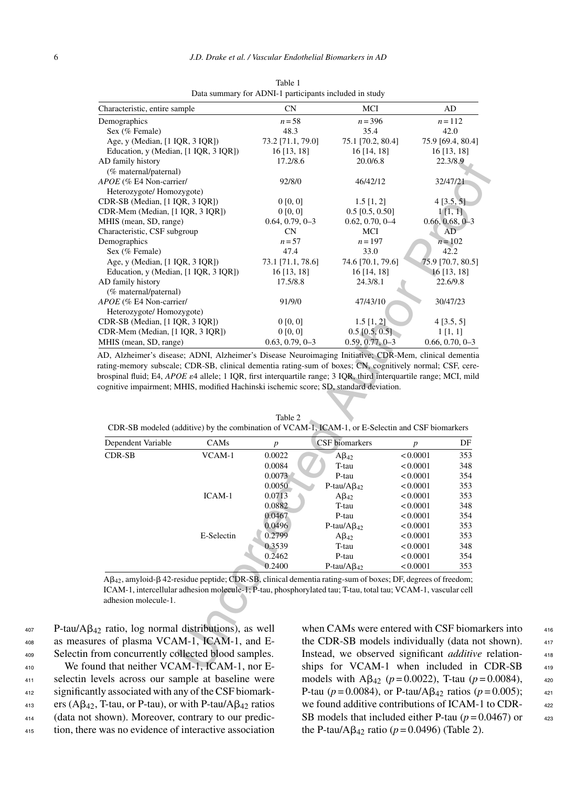| Characteristic, entire sample                                                                                               |                       | CN                           | MCI                              | AD                                                                                                                                                                                                                  |
|-----------------------------------------------------------------------------------------------------------------------------|-----------------------|------------------------------|----------------------------------|---------------------------------------------------------------------------------------------------------------------------------------------------------------------------------------------------------------------|
| Demographics                                                                                                                |                       | $n = 58$                     | $n = 396$                        | $n = 112$                                                                                                                                                                                                           |
| Sex (% Female)                                                                                                              |                       | 48.3                         | 35.4                             | 42.0                                                                                                                                                                                                                |
| Age, y (Median, [1 IQR, 3 IQR])                                                                                             |                       | 73.2 [71.1, 79.0]            | 75.1 [70.2, 80.4]                | 75.9 [69.4, 80.4]                                                                                                                                                                                                   |
| Education, y (Median, [1 IQR, 3 IQR])                                                                                       |                       | $16$ [13, 18]                | 16 [14, 18]                      | 16 [13, 18]                                                                                                                                                                                                         |
| AD family history                                                                                                           |                       | 17.2/8.6                     | 20.0/6.8                         | 22.3/8.9                                                                                                                                                                                                            |
| (% maternal/paternal)                                                                                                       |                       |                              |                                  |                                                                                                                                                                                                                     |
| APOE (% E4 Non-carrier/                                                                                                     |                       | 92/8/0                       | 46/42/12                         | 32/47/21                                                                                                                                                                                                            |
| Heterozygote/ Homozygote)                                                                                                   |                       |                              |                                  |                                                                                                                                                                                                                     |
| CDR-SB (Median, [1 IQR, 3 IQR])                                                                                             |                       | 0 [0, 0]                     | $1.5$ [1, 2]                     | 4[3.5, 5]                                                                                                                                                                                                           |
| CDR-Mem (Median, [1 IQR, 3 IQR])                                                                                            |                       | 0[0, 0]                      | $0.5$ [0.5, 0.50]                | 1[1,1]                                                                                                                                                                                                              |
| MHIS (mean, SD, range)                                                                                                      |                       | $0.64, 0.79, 0-3$            | $0.62, 0.70, 0 - 4$              | $0.66, 0.68, 0-3$                                                                                                                                                                                                   |
| Characteristic, CSF subgroup                                                                                                |                       | <b>CN</b>                    | MCI                              | AD                                                                                                                                                                                                                  |
| Demographics                                                                                                                |                       | $n = 57$                     | $n = 197$                        | $n = 102$                                                                                                                                                                                                           |
| Sex (% Female)                                                                                                              |                       | 47.4                         | 33.0                             | 42.2                                                                                                                                                                                                                |
| Age, y (Median, [1 IQR, 3 IQR])                                                                                             |                       | 73.1 [71.1, 78.6]            | 74.6 [70.1, 79.6]                | 75.9 [70.7, 80.5]                                                                                                                                                                                                   |
| Education, y (Median, [1 IQR, 3 IQR])                                                                                       |                       | 16 [13, 18]                  | 16 [14, 18]                      | 16 [13, 18]                                                                                                                                                                                                         |
| AD family history                                                                                                           |                       | 17.5/8.8                     | 24.3/8.1                         | 22.6/9.8                                                                                                                                                                                                            |
|                                                                                                                             |                       |                              |                                  |                                                                                                                                                                                                                     |
| APOE (% E4 Non-carrier/                                                                                                     | (% maternal/paternal) |                              | 47/43/10                         | 30/47/23                                                                                                                                                                                                            |
|                                                                                                                             |                       |                              |                                  |                                                                                                                                                                                                                     |
| Heterozygote/Homozygote)                                                                                                    |                       |                              |                                  |                                                                                                                                                                                                                     |
| CDR-SB (Median, [1 IQR, 3 IQR])                                                                                             |                       | 0 [0, 0]                     | $1.5$ [1, 2]<br>$0.5$ [0.5, 0.5] | 4[3.5, 5]                                                                                                                                                                                                           |
| CDR-Mem (Median, [1 IQR, 3 IQR])<br>MHIS (mean, SD, range)                                                                  |                       | 0[0, 0]<br>$0.63, 0.79, 0-3$ | $0.59, 0.77, 0-3$                | $1\,[1,1]$<br>$0.66, 0.70, 0-3$                                                                                                                                                                                     |
|                                                                                                                             |                       |                              |                                  | AD, Alzheimer's disease; ADNI, Alzheimer's Disease Neuroimaging Initiative; CDR-Mem, clinical dementia<br>rating-memory subscale; CDR-SB, clinical dementia rating-sum of boxes; CN, cognitively normal; CSF, cere- |
|                                                                                                                             |                       |                              |                                  | brospinal fluid; E4, APOE e4 allele; 1 IQR, first interquartile range; 3 IQR, third interquartile range; MCI, mild                                                                                                  |
|                                                                                                                             |                       | Table 2                      |                                  |                                                                                                                                                                                                                     |
|                                                                                                                             |                       |                              |                                  | CDR-SB modeled (additive) by the combination of VCAM-1, ICAM-1, or E-Selectin and CSF biomarkers                                                                                                                    |
| Dependent Variable                                                                                                          | CAMs                  | $\boldsymbol{p}$             | CSF biomarkers                   | DF<br>$\boldsymbol{p}$                                                                                                                                                                                              |
| <b>CDR-SB</b>                                                                                                               | VCAM-1                | 0.0022                       | $A\beta_{42}$                    | < 0.0001<br>353                                                                                                                                                                                                     |
|                                                                                                                             |                       | 0.0084                       | T-tau                            | < 0.0001<br>348                                                                                                                                                                                                     |
|                                                                                                                             |                       | 0.0073                       | P-tau                            | < 0.0001<br>354                                                                                                                                                                                                     |
|                                                                                                                             |                       | 0.0050                       | $P$ -tau/A $\beta_{42}$          | < 0.0001<br>353                                                                                                                                                                                                     |
|                                                                                                                             | ICAM-1                | 0.0713                       | $A\beta_{42}$                    | < 0.0001<br>353                                                                                                                                                                                                     |
|                                                                                                                             |                       | 0.0882                       | T-tau                            | 348<br>< 0.0001                                                                                                                                                                                                     |
|                                                                                                                             |                       | 0.0467                       | P-tau                            | < 0.0001<br>354                                                                                                                                                                                                     |
|                                                                                                                             |                       | 0.0496                       | P-tau/ $A\beta_{42}$             | < 0.0001<br>353                                                                                                                                                                                                     |
|                                                                                                                             | E-Selectin            | 0.2799                       | $A\beta_{42}$                    | 353<br>< 0.0001                                                                                                                                                                                                     |
|                                                                                                                             |                       | 0.3539                       | T-tau                            | < 0.0001<br>348                                                                                                                                                                                                     |
|                                                                                                                             |                       |                              |                                  | < 0.0001<br>354                                                                                                                                                                                                     |
|                                                                                                                             |                       |                              |                                  |                                                                                                                                                                                                                     |
|                                                                                                                             |                       | 0.2462                       | P-tau                            |                                                                                                                                                                                                                     |
|                                                                                                                             |                       | 0.2400                       | P-tau/ $A\beta_{42}$             | < 0.0001<br>353                                                                                                                                                                                                     |
|                                                                                                                             |                       |                              |                                  | A $\beta_{42}$ , amyloid- $\beta$ 42-residue peptide; CDR-SB, clinical dementia rating-sum of boxes; DF, degrees of freedom;                                                                                        |
|                                                                                                                             |                       |                              |                                  | ICAM-1, intercellular adhesion molecule-1; P-tau, phosphorylated tau; T-tau, total tau; VCAM-1, vascular cell                                                                                                       |
| adhesion molecule-1.                                                                                                        |                       |                              |                                  |                                                                                                                                                                                                                     |
|                                                                                                                             |                       |                              |                                  |                                                                                                                                                                                                                     |
|                                                                                                                             |                       |                              |                                  |                                                                                                                                                                                                                     |
| 12 ratio, log normal distributions), as well                                                                                |                       |                              |                                  | when CAMs were entered with CSF biomark                                                                                                                                                                             |
|                                                                                                                             |                       |                              |                                  |                                                                                                                                                                                                                     |
|                                                                                                                             |                       |                              |                                  | the CDR-SB models individually (data not s                                                                                                                                                                          |
| res of plasma VCAM-1, ICAM-1, and E-<br>rom concurrently collected blood samples.<br>nd that neither VCAM-1, ICAM-1, nor E- |                       |                              |                                  | Instead, we observed significant additive re<br>ships for VCAM-1 when included in C.                                                                                                                                |

Table 1 Data summary for ADNI-1 participants included in study

| Dependent Variable | CAMs       | $\boldsymbol{p}$ | <b>CSF</b> biomarkers | p        | DF  |
|--------------------|------------|------------------|-----------------------|----------|-----|
| <b>CDR-SB</b>      | VCAM-1     | 0.0022           | $A\beta_{42}$         | < 0.0001 | 353 |
|                    |            | 0.0084           | T-tau                 | < 0.0001 | 348 |
|                    |            | 0.0073           | P-tau                 | < 0.0001 | 354 |
|                    |            | 0.0050           | P-tau/ $AB_{42}$      | < 0.0001 | 353 |
|                    | ICAM-1     | 0.0713           | $A\beta_{42}$         | < 0.0001 | 353 |
|                    |            | 0.0882           | T-tau                 | < 0.0001 | 348 |
|                    |            | 0.0467           | P-tau                 | < 0.0001 | 354 |
|                    |            | 0.0496           | P-tau/ $AB_{42}$      | < 0.0001 | 353 |
|                    | E-Selectin | 0.2799           | $A\beta_{42}$         | < 0.0001 | 353 |
|                    |            | 0.3539           | T-tau                 | < 0.0001 | 348 |
|                    |            | 0.2462           | P-tau                 | < 0.0001 | 354 |
|                    |            | 0.2400           | P-tau/ $AB_{42}$      | < 0.0001 | 353 |

Table 2 CDR-SB modeled (additive) by the combination of VCAM-1, ICAM-1, or E-Selectin and CSF biomarkers

 P-tau/A $\beta_{42}$  ratio, log normal distributions), as well as measures of plasma VCAM-1, ICAM-1, and E-409 Selectin from concurrently collected blood samples. 410 We found that neither VCAM-1, ICAM-1, nor E- selectin levels across our sample at baseline were significantly associated with any of the CSF biomark- ers (A $\beta_{42}$ , T-tau, or P-tau), or with P-tau/A $\beta_{42}$  ratios (data not shown). Moreover, contrary to our predic-tion, there was no evidence of interactive association

when CAMs were entered with CSF biomarkers into  $416$ the CDR-SB models individually (data not shown).  $417$ Instead, we observed significant *additive* relation- <sup>418</sup> ships for VCAM-1 when included in CDR-SB 419 models with A $\beta_{42}$  ( $p = 0.0022$ ), T-tau ( $p = 0.0084$ ),  $420$ P-tau ( $p = 0.0084$ ), or P-tau/A $\beta_{42}$  ratios ( $p = 0.005$ ); 421 we found additive contributions of ICAM-1 to CDR-  $422$ SB models that included either P-tau  $(p=0.0467)$  or  $423$ the P-tau/A $\beta_{42}$  ratio ( $p = 0.0496$ ) (Table 2).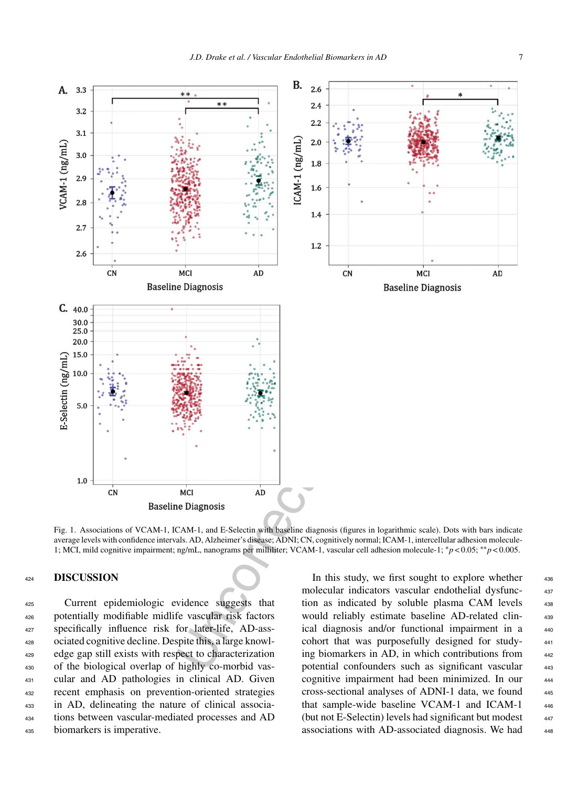

Fig. 1. Associations of VCAM-1, ICAM-1, and E-Selectin with baseline diagnosis (figures in logarithmic scale). Dots with bars indicate average levels with confidence intervals. AD, Alzheimer's disease; ADNI; CN, cognitively normal; ICAM-1, intercellular adhesion molecule-1; MCI, mild cognitive impairment; ng/mL, nanograms per milliliter; VCAM-1, vascular cell adhesion molecule-1; ∗*p* < 0.05; ∗∗*p* < 0.005.

## <sup>424</sup> **DISCUSSION**

 Current epidemiologic evidence suggests that potentially modifiable midlife vascular risk factors specifically influence risk for later-life, AD-ass- ociated cognitive decline. Despite this, a large knowl- edge gap still exists with respect to characterization of the biological overlap of highly co-morbid vas- cular and AD pathologies in clinical AD. Given recent emphasis on prevention-oriented strategies in AD, delineating the nature of clinical associa- tions between vascular-mediated processes and AD biomarkers is imperative.

In this study, we first sought to explore whether 436 molecular indicators vascular endothelial dysfunc- <sup>437</sup> tion as indicated by soluble plasma CAM levels 438 would reliably estimate baseline AD-related clinical diagnosis and/or functional impairment in a 440 cohort that was purposefully designed for study- <sup>441</sup> ing biomarkers in AD, in which contributions from  $442$ potential confounders such as significant vascular 443 cognitive impairment had been minimized. In our 444 cross-sectional analyses of ADNI-1 data, we found <sup>445</sup> that sample-wide baseline VCAM-1 and ICAM-1 446 (but not E-Selectin) levels had significant but modest  $447$ associations with AD-associated diagnosis. We had  $448$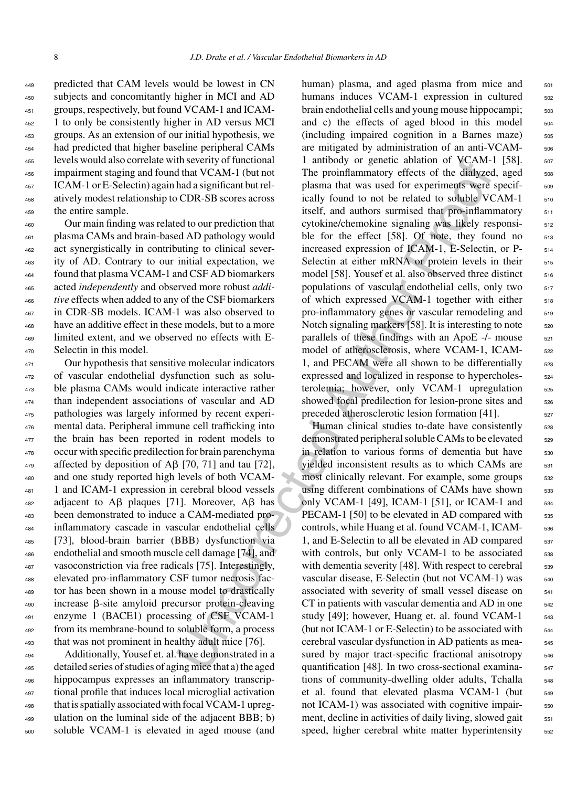predicted that CAM levels would be lowest in CN subjects and concomitantly higher in MCI and AD groups, respectively, but found VCAM-1 and ICAM- 1 to only be consistently higher in AD versus MCI groups. As an extension of our initial hypothesis, we had predicted that higher baseline peripheral CAMs levels would also correlate with severity of functional impairment staging and found that VCAM-1 (but not ICAM-1 or E-Selectin) again had a significant but rel- atively modest relationship to CDR-SB scores across the entire sample.

 Our main finding was related to our prediction that plasma CAMs and brain-based AD pathology would act synergistically in contributing to clinical sever- ity of AD. Contrary to our initial expectation, we found that plasma VCAM-1 and CSF AD biomarkers acted *independently* and observed more robust *addi- tive* effects when added to any of the CSF biomarkers in CDR-SB models. ICAM-1 was also observed to have an additive effect in these models, but to a more limited extent, and we observed no effects with E-Selectin in this model.

 Our hypothesis that sensitive molecular indicators of vascular endothelial dysfunction such as solu- ble plasma CAMs would indicate interactive rather than independent associations of vascular and AD pathologies was largely informed by recent experi- mental data. Peripheral immune cell trafficking into 477 the brain has been reported in rodent models to occur with specific predilection for brain parenchyma 479 affected by deposition of A $\beta$  [70, 71] and tau [72], and one study reported high levels of both VCAM- 1 and ICAM-1 expression in cerebral blood vessels adjacent to A $\beta$  plaques [71]. Moreover, A $\beta$  has been demonstrated to induce a CAM-mediated pro- inflammatory cascade in vascular endothelial cells [73], blood-brain barrier (BBB) dysfunction via endothelial and smooth muscle cell damage [74], and vasoconstriction via free radicals [75]. Interestingly, elevated pro-inflammatory CSF tumor necrosis fac- tor has been shown in a mouse model to drastically increase  $\beta$ -site amyloid precursor protein-cleaving enzyme 1 (BACE1) processing of CSF VCAM-1 from its membrane-bound to soluble form, a process that was not prominent in healthy adult mice [76].

 Additionally, Yousef et. al. have demonstrated in a detailed series of studies of aging mice that a) the aged hippocampus expresses an inflammatory transcrip- tional profile that induces local microglial activation that is spatially associated with focal VCAM-1 upreg- ulation on the luminal side of the adjacent BBB; b) soluble VCAM-1 is elevated in aged mouse (and

In severity of thunchood I<br>
Interduced also of genetic dislot of VCAM-1 (but met The proinfinammatory effects of the dislogated as<br>significant but The proinfinammatory effects of the dislogated to our percelucion that wit human) plasma, and aged plasma from mice and 501 humans induces VCAM-1 expression in cultured 502 brain endothelial cells and young mouse hippocampi;  $\frac{503}{200}$ and c) the effects of aged blood in this model 504  $(including impaired cognition in a Barnes maze)$  505 are mitigated by administration of an anti-VCAM- 506 1 antibody or genetic ablation of VCAM-1 [58]. 507 The proinflammatory effects of the dialyzed, aged  $\frac{1}{508}$ plasma that was used for experiments were specif-<br>sos ically found to not be related to soluble VCAM-1 510 itself, and authors surmised that pro-inflammatory  $511$ cytokine/chemokine signaling was likely responsi-<br>
<sub>512</sub> ble for the effect  $[58]$ . Of note, they found no  $513$ increased expression of ICAM-1, E-Selectin, or P-  $_{514}$ Selectin at either mRNA or protein levels in their 515 model [58]. Yousef et al. also observed three distinct  $_{516}$ populations of vascular endothelial cells, only two  $517$ of which expressed VCAM-1 together with either  $518$ pro-inflammatory genes or vascular remodeling and 519 Notch signaling markers  $[58]$ . It is interesting to note  $520$ parallels of these findings with an ApoE  $-/-$  mouse  $521$ model of atherosclerosis, where VCAM-1, ICAM- 522 1, and PECAM were all shown to be differentially  $523$ expressed and localized in response to hypercholes-  $524$ terolemia; however, only VCAM-1 upregulation 525 showed focal predilection for lesion-prone sites and <sub>526</sub> preceded atherosclerotic lesion formation [41]. <sub>527</sub>

Human clinical studies to-date have consistently 528 demonstrated peripheral soluble CAMs to be elevated <sub>529</sub> in relation to various forms of dementia but have  $\frac{530}{2}$ yielded inconsistent results as to which CAMs are 531 most clinically relevant. For example, some groups  $\frac{1}{5}$  532 using different combinations of CAMs have shown 533 only VCAM-1 [49], ICAM-1 [51], or ICAM-1 and 534 PECAM-1 [50] to be elevated in AD compared with 535 controls, while Huang et al. found VCAM-1, ICAM- 536 1, and E-Selectin to all be elevated in AD compared  $\frac{537}{2}$ with controls, but only VCAM-1 to be associated  $538$ with dementia severity  $[48]$ . With respect to cerebral  $\qquad$  539 vascular disease, E-Selectin (but not VCAM-1) was  $540$ associated with severity of small vessel disease on  $541$ CT in patients with vascular dementia and AD in one  $_{542}$ study [49]; however, Huang et. al. found VCAM-1 <sub>543</sub> (but not ICAM-1 or E-Selectin) to be associated with  $_{544}$ cerebral vascular dysfunction in AD patients as mea- <sup>545</sup> sured by major tract-specific fractional anisotropy 546 quantification [48]. In two cross-sectional examina-<br>
<sub>547</sub> tions of community-dwelling older adults, Tchalla 548 et al. found that elevated plasma VCAM-1 (but 549 not ICAM-1) was associated with cognitive impairment, decline in activities of daily living, slowed gait  $\frac{551}{551}$ speed, higher cerebral white matter hyperintensity 552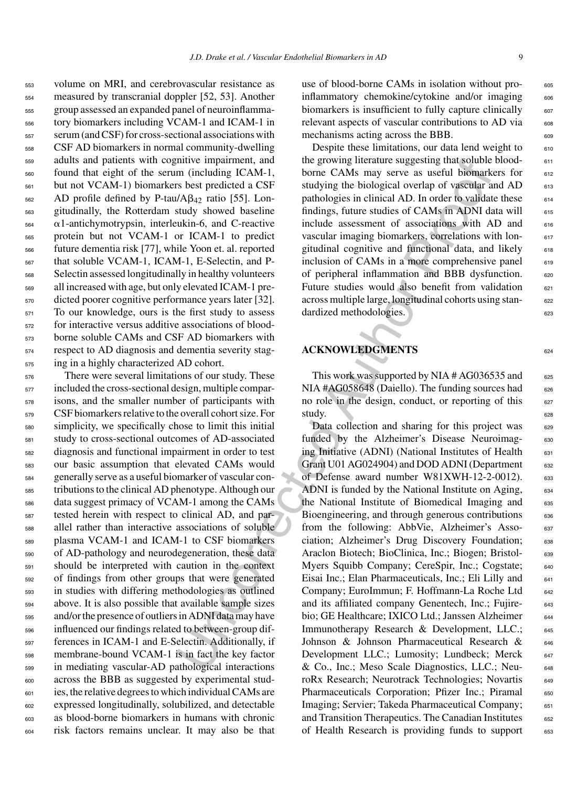volume on MRI, and cerebrovascular resistance as measured by transcranial doppler [52, 53]. Another group assessed an expanded panel of neuroinflamma- tory biomarkers including VCAM-1 and ICAM-1 in serum (and CSF) for cross-sectional associations with CSF AD biomarkers in normal community-dwelling adults and patients with cognitive impairment, and found that eight of the serum (including ICAM-1, but not VCAM-1) biomarkers best predicted a CSF AD profile defined by P-tau/A $\beta_{42}$  ratio [55]. Lon- gitudinally, the Rotterdam study showed baseline  $\alpha$ 1-antichymotrypsin, interleukin-6, and C-reactive protein but not VCAM-1 or ICAM-1 to predict future dementia risk [77], while Yoon et. al. reported that soluble VCAM-1, ICAM-1, E-Selectin, and P- Selectin assessed longitudinally in healthy volunteers all increased with age, but only elevated ICAM-1 pre- dicted poorer cognitive performance years later [32]. To our knowledge, ours is the first study to assess for interactive versus additive associations of blood- borne soluble CAMs and CSF AD biomarkers with respect to AD diagnosis and dementia severity stag-ing in a highly characterized AD cohort.

 There were several limitations of our study. These included the cross-sectional design, multiple compar- isons, and the smaller number of participants with CSF biomarkers relative to the overall cohort size. For simplicity, we specifically chose to limit this initial study to cross-sectional outcomes of AD-associated diagnosis and functional impairment in order to test our basic assumption that elevated CAMs would generally serve as a useful biomarker of vascular con- tributions to the clinical AD phenotype. Although our data suggest primacy of VCAM-1 among the CAMs tested herein with respect to clinical AD, and par- allel rather than interactive associations of soluble plasma VCAM-1 and ICAM-1 to CSF biomarkers of AD-pathology and neurodegeneration, these data should be interpreted with caution in the context of findings from other groups that were generated in studies with differing methodologies as outlined above. It is also possible that available sample sizes and/or the presence of outliers in ADNI data may have influenced our findings related to between-group dif- ferences in ICAM-1 and E-Selectin. Additionally, if membrane-bound VCAM-1 is in fact the key factor in mediating vascular-AD pathological interactions across the BBB as suggested by experimental stud- ies, the relative degrees to which individual CAMs are expressed longitudinally, solubilized, and detectable as blood-borne biomarkers in humans with chronic risk factors remains unclear. It may also be that

use of blood-borne CAMs in isolation without proinflammatory chemokine/cytokine and/or imaging 606 biomarkers is insufficient to fully capture clinically  $\frac{607}{607}$ relevant aspects of vascular contributions to AD via 608 mechanisms acting across the BBB.

Despite these limitations, our data lend weight to  $610$ the growing literature suggesting that soluble blood- 611 borne CAMs may serve as useful biomarkers for  $612$ studying the biological overlap of vascular and AD 613 pathologies in clinical AD. In order to validate these 614 findings, future studies of CAMs in ADNI data will  $_{615}$ include assessment of associations with AD and 616 vascular imaging biomarkers, correlations with lon- 617 gitudinal cognitive and functional data, and likely 618 inclusion of CAMs in a more comprehensive panel  $619$ of peripheral inflammation and BBB dysfunction. 620 Future studies would also benefit from validation  $621$ across multiple large, longitudinal cohorts using stan- <sup>622</sup> dardized methodologies.

# **ACKNOWLEDGMENTS** <sup>624</sup>

This work was supported by NIA  $#AG036535$  and  $#Q036535$ NIA #AG058648 (Daiello). The funding sources had  $626$ no role in the design, conduct, or reporting of this  $627$ study. 628

mitter in the growing litterate suggesting fatalsolubition in the growing litterate suggesting fatalsolubing RCAM-1, borne CAMs may seve as useful biomark<br>
is better ded a CSF studying the biological orethal of vastellar Data collection and sharing for this project was 629 funded by the Alzheimer's Disease Neuroimag- 630 ing Initiative (ADNI) (National Institutes of Health  $631$ Grant U01 AG024904) and DOD ADNI (Department 632 of Defense award number W81XWH-12-2-0012). 633 ADNI is funded by the National Institute on Aging, 634 the National Institute of Biomedical Imaging and 635 Bioengineering, and through generous contributions 636 from the following: AbbVie, Alzheimer's Asso- <sup>637</sup> ciation; Alzheimer's Drug Discovery Foundation; 638 Araclon Biotech; BioClinica, Inc.; Biogen; Bristol- 639 Myers Squibb Company; CereSpir, Inc.; Cogstate; 640 Eisai Inc.; Elan Pharmaceuticals, Inc.; Eli Lilly and 641 Company; EuroImmun; F. Hoffmann-La Roche Ltd 642 and its affiliated company Genentech, Inc.; Fujire- 643 bio; GE Healthcare; IXICO Ltd.; Janssen Alzheimer 644 Immunotherapy Research & Development, LLC.; 645 Johnson & Johnson Pharmaceutical Research & 646 Development LLC.; Lumosity; Lundbeck; Merck 647 & Co., Inc.; Meso Scale Diagnostics, LLC.; Neu- <sup>648</sup> roRx Research; Neurotrack Technologies; Novartis 649 Pharmaceuticals Corporation; Pfizer Inc.; Piramal 650 Imaging; Servier; Takeda Pharmaceutical Company; 651 and Transition Therapeutics. The Canadian Institutes 652 of Health Research is providing funds to support 653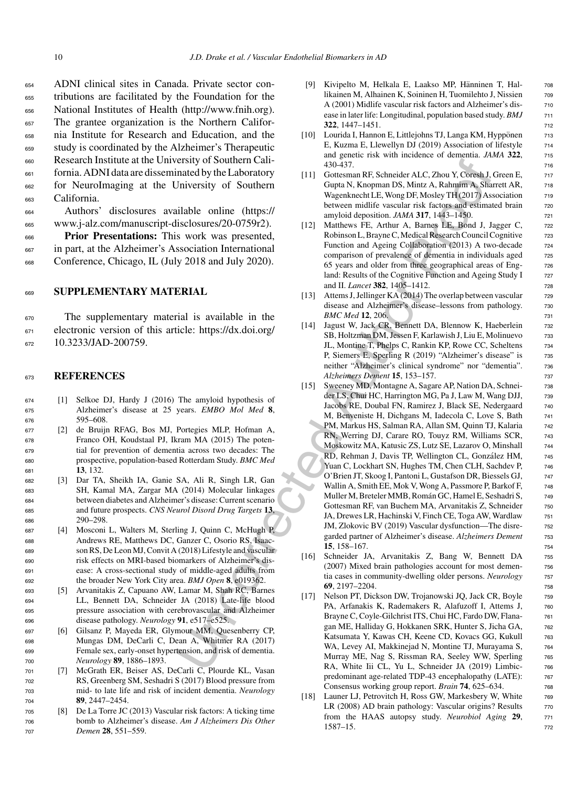ADNI clinical sites in Canada. Private sector con- tributions are facilitated by the Foundation for the National Institutes of Health ([http://www.fnih.org\)](http://www.fnih.org). The grantee organization is the Northern Califor- nia Institute for Research and Education, and the study is coordinated by the Alzheimer's Therapeutic Research Institute at the University of Southern Cali- fornia. ADNI data are disseminated by the Laboratory for NeuroImaging at the University of Southern California.

<sup>664</sup> Authors' disclosures available online (https:// <sup>665</sup> www.j-alz.com/manuscript-disclosures/20-0759r2).

<sup>666</sup> **Prior Presentations:** This work was presented, <sup>667</sup> in part, at the Alzheimer's Association International <sup>668</sup> Conference, Chicago, IL (July 2018 and July 2020).

## <sup>669</sup> **SUPPLEMENTARY MATERIAL**

<sup>670</sup> The supplementary material is available in the <sup>671</sup> electronic version of this article: https://dx.doi.org/ 672 [10.3233/JAD-200759.](https://dx.doi.org/10.3233/JAD-200759)

#### <sup>673</sup> **REFERENCES**

- <sup>674</sup> [1] Selkoe DJ, Hardy J (2016) The amyloid hypothesis of <sup>675</sup> Alzheimer's disease at 25 years. *EMBO Mol Med* **8**, <sup>676</sup> 595–608.
- <sup>677</sup> [2] de Bruijn RFAG, Bos MJ, Portegies MLP, Hofman A, <sup>678</sup> Franco OH, Koudstaal PJ, Ikram MA (2015) The poten-<sup>679</sup> tial for prevention of dementia across two decades: The <sup>680</sup> prospective, population-based Rotterdam Study. *BMC Med* <sup>681</sup> **13**, 132.
- <sup>682</sup> [3] Dar TA, Sheikh IA, Ganie SA, Ali R, Singh LR, Gan <sup>683</sup> SH, Kamal MA, Zargar MA (2014) Molecular linkages <sup>684</sup> between diabetes and Alzheimer's disease: Current scenario <sup>685</sup> and future prospects. *CNS Neurol Disord Drug Targets* **13**, <sup>686</sup> 290–298.
- <sup>687</sup> [4] Mosconi L, Walters M, Sterling J, Quinn C, McHugh P, <sup>688</sup> Andrews RE, Matthews DC, Ganzer C, Osorio RS, Isaac-<sup>689</sup> son RS, De Leon MJ, Convit A (2018) Lifestyle and vascular <sup>690</sup> risk effects on MRI-based biomarkers of Alzheimer's dis-<sup>691</sup> ease: A cross-sectional study of middle-aged adults from <sup>692</sup> the broader New York City area. *BMJ Open* **8**, e019362.
- <sup>693</sup> [5] Arvanitakis Z, Capuano AW, Lamar M, Shah RC, Barnes <sup>694</sup> LL, Bennett DA, Schneider JA (2018) Late-life blood <sup>695</sup> pressure association with cerebrovascular and Alzheimer <sup>696</sup> disease pathology. *Neurology* **91**, e517–e525.
- <sup>697</sup> [6] Gilsanz P, Mayeda ER, Glymour MM, Quesenberry CP, <sup>698</sup> Mungas DM, DeCarli C, Dean A, Whitmer RA (2017) <sup>699</sup> Female sex, early-onset hypertension, and risk of dementia. <sup>700</sup> *Neurology* **89**, 1886–1893.
- <sup>701</sup> [7] McGrath ER, Beiser AS, DeCarli C, Plourde KL, Vasan <sup>702</sup> RS, Greenberg SM, Seshadri S (2017) Blood pressure from <sup>703</sup> mid- to late life and risk of incident dementia. *Neurology* <sup>704</sup> **89**, 2447–2454.
- <sup>705</sup> [8] De La Torre JC (2013) Vascular risk factors: A ticking time <sup>706</sup> bomb to Alzheimer's disease. *Am J Alzheimers Dis Other* <sup>707</sup> *Demen* **28**, 551–559.
- [9] Kivipelto M, Helkala E, Laakso MP, Hänninen T, Hal- 708 likainen M, Alhainen K, Soininen H, Tuomilehto J, Nissien 709 A (2001) Midlife vascular risk factors and Alzheimer's disease in later life: Longitudinal, population based study. *BMJ* 711 **322**, 1447–1451. **712**
- [10] Lourida I, Hannon E, Littlejohns TJ, Langa KM, Hyppönen 713 E, Kuzma E, Llewellyn DJ (2019) Association of lifestyle  $\frac{714}{2}$ and genetic risk with incidence of dementia. *JAMA* 322,  $\frac{715}{215}$ 430-437. <sup>716</sup>
- [11] Gottesman RF, Schneider ALC, Zhou Y, Coresh J, Green E, 717 Gupta N, Knopman DS, Mintz A, Rahmim A, Sharrett AR, 718 Wagenknecht LE, Wong DF, Mosley TH (2017) Association 719 between midlife vascular risk factors and estimated brain 720 amyloid deposition. *JAMA* **317**, 1443–1450. 721
- [12] Matthews FE, Arthur A, Barnes LE, Bond J, Jagger C, 722 Robinson L, Brayne C, Medical Research Council Cognitive 723 Function and Ageing Collaboration (2013) A two-decade 724 comparison of prevalence of dementia in individuals aged 725 65 years and older from three geographical areas of Eng- <sup>726</sup> land: Results of the Cognitive Function and Ageing Study I 727 and II. *Lancet* **382**, 1405–1412. <sup>728</sup>
- [13] Attems J, Jellinger KA (2014) The overlap between vascular 729 disease and Alzheimer's disease–lessons from pathology. 730 *BMC Med* **12**, 206. <sup>731</sup>
- [14] Jagust W, Jack CR, Bennett DA, Blennow K, Haeberlein 732 SB, Holtzman DM, Jessen F, Karlawish J, Liu E, Molinuevo 733 JL, Montine T, Phelps C, Rankin KP, Rowe CC, Scheltens <sup>734</sup> P, Siemers E, Sperling R (2019) "Alzheimer's disease" is 735 neither "Alzheimer's clinical syndrome" nor "dementia". 736 *Alzheimers Dement* **15**, 153–157. <sup>737</sup>
- EVALUATIon (1611)<br>
1430. The Southern California (1613) (The Southern Cause and Mohema RF, Schneider ALC, Zhou Y, Coreal),<br>
1410 Genesiman RF, Schneider ALC, Zhou Y, Coreal),<br>
1410 Genesiman RF, Schneider ALC, Zhou Y, Cor [15] Sweeney MD, Montagne A, Sagare AP, Nation DA, Schnei- <sup>738</sup> der LS, Chui HC, Harrington MG, Pa J, Law M, Wang DJJ, 739 Jacobs RE, Doubal FN, Ramirez J, Black SE, Nedergaard 740 M, Benveniste H, Dichgans M, Iadecola C, Love S, Bath 741 PM, Markus HS, Salman RA, Allan SM, Quinn TJ, Kalaria 742 RN, Werring DJ, Carare RO, Touyz RM, Williams SCR, 743 Moskowitz MA, Katusic ZS, Lutz SE, Lazarov O, Minshall <sup>744</sup> RD, Rehman J, Davis TP, Wellington CL, González HM, 745 Yuan C, Lockhart SN, Hughes TM, Chen CLH, Sachdev P,  $\frac{746}{2}$ O'Brien JT, Skoog I, Pantoni L, Gustafson DR, Biessels GJ, <sup>747</sup> Wallin A, Smith EE, Mok V, Wong A, Passmore P, Barkof F, 748 Muller M, Breteler MMB, Román GC, Hamel E, Seshadri S,  $1/749$ Gottesman RF, van Buchem MA, Arvanitakis Z, Schneider 750 JA, Drewes LR, Hachinski V, Finch CE, Toga AW, Wardlaw <sup>751</sup> JM, Zlokovic BV (2019) Vascular dysfunction—The disre- <sup>752</sup> garded partner of Alzheimer's disease. *Alzheimers Dement* <sup>753</sup> **15**, 158–167. <sup>754</sup>
	- [16] Schneider JA, Arvanitakis Z, Bang W, Bennett DA <sup>755</sup> (2007) Mixed brain pathologies account for most demen- <sup>756</sup> tia cases in community-dwelling older persons. *Neurology* 757 **69**, 2197–2204. <sup>758</sup>
	- [17] Nelson PT, Dickson DW, Trojanowski JQ, Jack CR, Boyle 759 PA, Arfanakis K, Rademakers R, Alafuzoff I, Attems J, 760 Brayne C, Coyle-Gilchrist ITS, Chui HC, Fardo DW, Flana- 761 gan ME, Halliday G, Hokkanen SRK, Hunter S, Jicha GA, 762 Katsumata Y, Kawas CH, Keene CD, Kovacs GG, Kukull 763 WA, Levey AI, Makkinejad N, Montine TJ, Murayama S, 764 Murray ME, Nag S, Rissman RA, Seeley WW, Sperling 765 RA, White Iii CL, Yu L, Schneider JA (2019) Limbic- 766 predominant age-related TDP-43 encephalopathy (LATE): 767 Consensus working group report. *Brain* **74**, 625–634. <sup>768</sup>
	- [18] Launer LJ, Petrovitch H, Ross GW, Markesbery W, White 769 LR (2008) AD brain pathology: Vascular origins? Results 770 from the HAAS autopsy study. *Neurobiol Aging* **29**, <sup>771</sup> 1587–15. <sup>772</sup>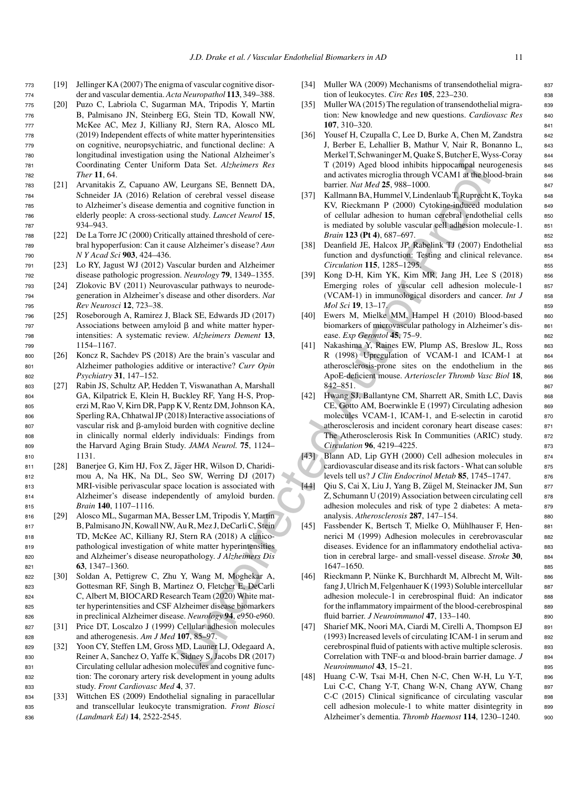- <sup>773</sup> [19] Jellinger KA (2007) The enigma of vascular cognitive disor-<sup>774</sup> der and vascular dementia. *Acta Neuropathol* **113**, 349–388.
- <sup>775</sup> [20] Puzo C, Labriola C, Sugarman MA, Tripodis Y, Martin <sup>776</sup> B, Palmisano JN, Steinberg EG, Stein TD, Kowall NW, <sup>777</sup> McKee AC, Mez J, Killiany RJ, Stern RA, Alosco ML <sup>778</sup> (2019) Independent effects of white matter hyperintensities <sup>779</sup> on cognitive, neuropsychiatric, and functional decline: A <sup>780</sup> longitudinal investigation using the National Alzheimer's <sup>781</sup> Coordinating Center Uniform Data Set. *Alzheimers Res* <sup>782</sup> *Ther* **11**, 64.
- <sup>783</sup> [21] Arvanitakis Z, Capuano AW, Leurgans SE, Bennett DA, <sup>784</sup> Schneider JA (2016) Relation of cerebral vessel disease <sup>785</sup> to Alzheimer's disease dementia and cognitive function in <sup>786</sup> elderly people: A cross-sectional study. *Lancet Neurol* **15**, <sup>787</sup> 934–943.
- <sup>788</sup> [22] De La Torre JC (2000) Critically attained threshold of cere-<sup>789</sup> bral hypoperfusion: Can it cause Alzheimer's disease? *Ann* <sup>790</sup> *N Y Acad Sci* **903**, 424–436.
- <sup>791</sup> [23] Lo RY, Jagust WJ (2012) Vascular burden and Alzheimer <sup>792</sup> disease pathologic progression. *Neurology* **79**, 1349–1355.
- <sup>793</sup> [24] Zlokovic BV (2011) Neurovascular pathways to neurode-<sup>794</sup> generation in Alzheimer's disease and other disorders. *Nat* <sup>795</sup> *Rev Neurosci* **12**, 723–38.
- <sup>796</sup> [25] Roseborough A, Ramirez J, Black SE, Edwards JD (2017)  $797$  Associations between amyloid  $\beta$  and white matter hyper-<sup>798</sup> intensities: A systematic review. *Alzheimers Dement* **13**, <sup>799</sup> 1154–1167.
- <sup>800</sup> [26] Koncz R, Sachdev PS (2018) Are the brain's vascular and <sup>801</sup> Alzheimer pathologies additive or interactive? *Curr Opin* <sup>802</sup> *Psychiatry* **31**, 147–152.
- <sup>803</sup> [27] Rabin JS, Schultz AP, Hedden T, Viswanathan A, Marshall <sup>804</sup> GA, Kilpatrick E, Klein H, Buckley RF, Yang H-S, Prop-<sup>805</sup> erzi M, Rao V, Kirn DR, Papp K V, Rentz DM, Johnson KA, <sup>806</sup> Sperling RA, Chhatwal JP (2018) Interactive associations of  $807$  vascular risk and  $\beta$ -amyloid burden with cognitive decline <sup>808</sup> in clinically normal elderly individuals: Findings from <sup>809</sup> the Harvard Aging Brain Study. *JAMA Neurol.* **75**, 1124– <sup>810</sup> 1131.
- 811 [28] Banerjee G, Kim HJ, Fox Z, Jäger HR, Wilson D, Charidi-<sup>812</sup> mou A, Na HK, Na DL, Seo SW, Werring DJ (2017) <sup>813</sup> MRI-visible perivascular space location is associated with <sup>814</sup> Alzheimer's disease independently of amyloid burden. <sup>815</sup> *Brain* **140**, 1107–1116.
- <sup>816</sup> [29] Alosco ML, Sugarman MA, Besser LM, Tripodis Y, Martin 817 B, Palmisano JN, Kowall NW, Au R, Mez J, DeCarli C, Stein <sup>818</sup> TD, McKee AC, Killiany RJ, Stern RA (2018) A clinico-<sup>819</sup> pathological investigation of white matter hyperintensities <sup>820</sup> and Alzheimer's disease neuropathology. *J Alzheimers Dis* <sup>821</sup> **63**, 1347–1360.
- <sup>822</sup> [30] Soldan A, Pettigrew C, Zhu Y, Wang M, Moghekar A, <sup>823</sup> Gottesman RF, Singh B, Martinez O, Fletcher E, DeCarli <sup>824</sup> C, Albert M, BIOCARD Research Team (2020) White mat-<sup>825</sup> ter hyperintensities and CSF Alzheimer disease biomarkers <sup>826</sup> in preclinical Alzheimer disease. *Neurology* **94**, e950-e960.
- <sup>827</sup> [31] Price DT, Loscalzo J (1999) Cellular adhesion molecules <sup>828</sup> and atherogenesis. *Am J Med* **107**, 85–97.
- <sup>829</sup> [32] Yoon CY, Steffen LM, Gross MD, Launer LJ, Odegaard A, <sup>830</sup> Reiner A, Sanchez O, Yaffe K, Sidney S, Jacobs DR (2017) <sup>831</sup> Circulating cellular adhesion molecules and cognitive func-<sup>832</sup> tion: The coronary artery risk development in young adults <sup>833</sup> study. *Front Cardiovasc Med* **4**, 37.
- <sup>834</sup> [33] Wittchen ES (2009) Endothelial signaling in paracellular <sup>835</sup> and transcellular leukocyte transmigration. *Front Biosci* <sup>836</sup> *(Landmark Ed)* **14**, 2522-2545.
- [34] Muller WA (2009) Mechanisms of transendothelial migra- 837 tion of leukocytes. *Circ Res* **105**, 223–230. <sup>838</sup>
- [35] Muller WA (2015) The regulation of transendothelial migra- 839 tion: New knowledge and new questions. *Cardiovasc Res* 840 **107**, 310–320. <sup>841</sup>
- [36] Yousef H, Czupalla C, Lee D, Burke A, Chen M, Zandstra 842 J, Berber E, Lehallier B, Mathur V, Nair R, Bonanno L, 843 Merkel T, Schwaninger M, Quake S, Butcher E, Wyss-Coray 844 T (2019) Aged blood inhibits hippocampal neurogenesis 845 and activates microglia through VCAM1 at the blood-brain 846 barrier. *Nat Med* **25**, 988–1000. <sup>847</sup>
- [37] Kallmann BA, Hummel V, Lindenlaub T, Ruprecht K, Toyka 848 KV, Rieckmann P (2000) Cytokine-induced modulation 849 of cellular adhesion to human cerebral endothelial cells 850 is mediated by soluble vascular cell adhesion molecule-1. 851 *Brain* **123 (Pt 4)**, 687–697. 852
- [38] Deanfield JE, Halcox JP, Rabelink TJ (2007) Endothelial 853 function and dysfunction: Testing and clinical relevance. 854 *Circulation* **115**, 1285–1295. <sup>855</sup>
- [39] Kong D-H, Kim YK, Kim MR, Jang JH, Lee S (2018) 856 Emerging roles of vascular cell adhesion molecule-1 857 (VCAM-1) in immunological disorders and cancer. *Int J* 858 *Mol Sci* **19**, 13–17. 859
- [40] Ewers M, Mielke MM, Hampel H (2010) Blood-based 860 biomarkers of microvascular pathology in Alzheimer's dis-<br>861 ease. *Exp Gerontol* **45**, 75–9. <sup>862</sup>
- [41] Nakashima Y, Raines EW, Plump AS, Breslow JL, Ross 863 R (1998) Upregulation of VCAM-1 and ICAM-1 at 864 atherosclerosis-prone sites on the endothelium in the 865 ApoE-deficient mouse. Arterioscler Thromb Vasc Biol 18, 866 842–851. <sup>867</sup>
- n Data Set. Alzheimers Res<br>
Tangan Set. Alzheimers Res<br>
Tangan and activutes microgila shrongh VCAMI affluence (1.1 curgans SF, Remedel these to the state (1.1 curgans SF, Remedel (1.1 curgans SF, Remedel (1.1 curgans SF, [42] Hwang SJ, Ballantyne CM, Sharrett AR, Smith LC, Davis 868  $CE$ , Gotto AM, Boerwinkle E (1997) Circulating adhesion  $869$ molecules VCAM-1, ICAM-1, and E-selectin in carotid 870 atherosclerosis and incident coronary heart disease cases: <sup>871</sup> The Atherosclerosis Risk In Communities (ARIC) study. 872 *Circulation* **96**, 4219–4225. <sup>873</sup>
	- [43] Blann AD, Lip GYH (2000) Cell adhesion molecules in 874 cardiovascular disease and its risk factors - What can soluble 875 levels tell us? *J Clin Endocrinol Metab* 85, 1745–1747. 876
	- [44] Qiu S, Cai X, Liu J, Yang B, Zügel M, Steinacker JM, Sun 877  $Z$ , Schumann U (2019) Association between circulating cell  $\qquad$  878 adhesion molecules and risk of type 2 diabetes: A meta-<br>879 analysis. *Atherosclerosis* **287**, 147–154. <sup>880</sup>
	- [45] Fassbender K, Bertsch T, Mielke O, Mühlhauser F, Hen- 881 nerici M (1999) Adhesion molecules in cerebrovascular 882 diseases. Evidence for an inflammatory endothelial activa-<br>883 tion in cerebral large- and small-vessel disease. *Stroke* **30**, <sup>884</sup> 1647–1650. <sup>885</sup>
	- [46] Rieckmann P, Nünke K, Burchhardt M, Albrecht M, Wilt- 886 fang J, Ulrich M, Felgenhauer K (1993) Soluble intercellular 887 adhesion molecule-1 in cerebrospinal fluid: An indicator 888 for the inflammatory impairment of the blood-cerebrospinal 889 fluid barrier. *J Neuroimmunol* **47**, 133–140. 890
	- [47] Sharief MK, Noori MA, Ciardi M, Cirelli A, Thompson EJ 891  $(1993)$  Increased levels of circulating ICAM-1 in serum and  $892$ cerebrospinal fluid of patients with active multiple sclerosis. 893 Correlation with TNF- $\alpha$  and blood-brain barrier damage.  $J$  894 *Neuroimmunol* **43**, 15–21. <sup>895</sup>
	- [48] Huang C-W, Tsai M-H, Chen N-C, Chen W-H, Lu Y-T, 896 Lui C-C, Chang Y-T, Chang W-N, Chang AYW, Chang 897 C-C (2015) Clinical significance of circulating vascular 898 cell adhesion molecule-1 to white matter disintegrity in 899 Alzheimer's dementia. *Thromb Haemost* **114**, 1230–1240. <sup>900</sup>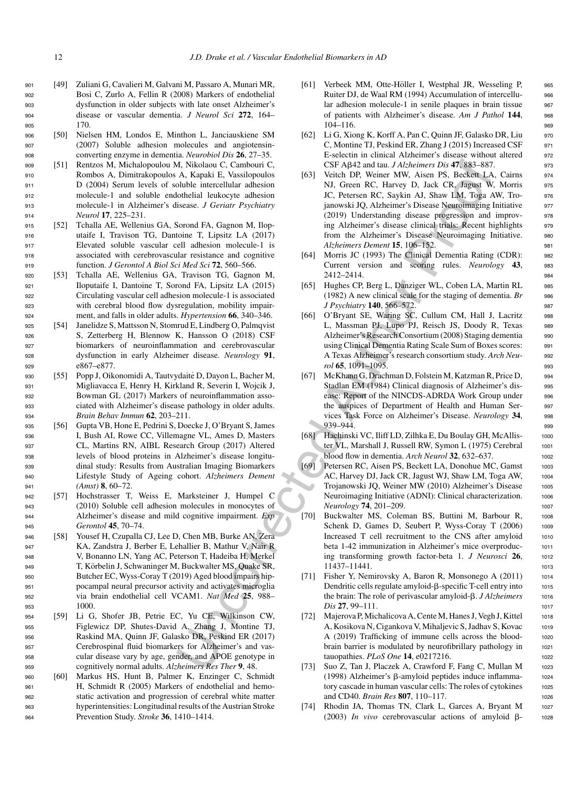- <sup>901</sup> [49] Zuliani G, Cavalieri M, Galvani M, Passaro A, Munari MR, <sup>902</sup> Bosi C, Zurlo A, Fellin R (2008) Markers of endothelial <sup>903</sup> dysfunction in older subjects with late onset Alzheimer's <sup>904</sup> disease or vascular dementia. *J Neurol Sci* **272**, 164– <sup>905</sup> 170.
- <sup>906</sup> [50] Nielsen HM, Londos E, Minthon L, Janciauskiene SM <sup>907</sup> (2007) Soluble adhesion molecules and angiotensin-<sup>908</sup> converting enzyme in dementia. *Neurobiol Dis* **26**, 27–35.
- <sup>909</sup> [51] Rentzos M, Michalopoulou M, Nikolaou C, Cambouri C, <sup>910</sup> Rombos A, Dimitrakopoulos A, Kapaki E, Vassilopoulos <sup>911</sup> D (2004) Serum levels of soluble intercellular adhesion <sup>912</sup> molecule-1 and soluble endothelial leukocyte adhesion <sup>913</sup> molecule-1 in Alzheimer's disease. *J Geriatr Psychiatry* <sup>914</sup> *Neurol* **17**, 225–231.
- <sup>915</sup> [52] Tchalla AE, Wellenius GA, Sorond FA, Gagnon M, Ilop-<sup>916</sup> utaife I, Travison TG, Dantoine T, Lipsitz LA (2017) <sup>917</sup> Elevated soluble vascular cell adhesion molecule-1 is <sup>918</sup> associated with cerebrovascular resistance and cognitive <sup>919</sup> function. *J Gerontol A Biol Sci Med Sci* **72**, 560–566.
- <sup>920</sup> [53] Tchalla AE, Wellenius GA, Travison TG, Gagnon M, <sup>921</sup> Iloputaife I, Dantoine T, Sorond FA, Lipsitz LA (2015) <sup>922</sup> Circulating vascular cell adhesion molecule-1 is associated <sup>923</sup> with cerebral blood flow dysregulation, mobility impair-<sup>924</sup> ment, and falls in older adults. *Hypertension* **66**, 340–346.
- <sup>925</sup> [54] Janelidze S, Mattsson N, Stomrud E, Lindberg O, Palmqvist <sup>926</sup> S, Zetterberg H, Blennow K, Hansson O (2018) CSF <sup>927</sup> biomarkers of neuroinflammation and cerebrovascular <sup>928</sup> dysfunction in early Alzheimer disease. *Neurology* **91**, <sup>929</sup> e867–e877.
- 930 [55] Popp J, Oikonomidi A, Tautvydaitė D, Dayon L, Bacher M, <sup>931</sup> Migliavacca E, Henry H, Kirkland R, Severin I, Wojcik J, <sup>932</sup> Bowman GL (2017) Markers of neuroinflammation asso-<sup>933</sup> ciated with Alzheimer's disease pathology in older adults. <sup>934</sup> *Brain Behav Immun* **62**, 203–211.
- <sup>935</sup> [56] Gupta VB, Hone E, Pedrini S, Doecke J, O'Bryant S, James <sup>936</sup> I, Bush AI, Rowe CC, Villemagne VL, Ames D, Masters <sup>937</sup> CL, Martins RN, AIBL Research Group (2017) Altered <sup>938</sup> levels of blood proteins in Alzheimer's disease longitu-<sup>939</sup> dinal study: Results from Australian Imaging Biomarkers <sup>940</sup> Lifestyle Study of Ageing cohort. *Alzheimers Dement* <sup>941</sup> *(Amst)* **8**, 60–72.
- <sup>942</sup> [57] Hochstrasser T, Weiss E, Marksteiner J, Humpel C <sup>943</sup> (2010) Soluble cell adhesion molecules in monocytes of <sup>944</sup> Alzheimer's disease and mild cognitive impairment. *Exp* <sup>945</sup> *Gerontol* **45**, 70–74.
- <sup>946</sup> [58] Yousef H, Czupalla CJ, Lee D, Chen MB, Burke AN, Zera <sup>947</sup> KA, Zandstra J, Berber E, Lehallier B, Mathur V, Nair R <sup>948</sup> V, Bonanno LN, Yang AC, Peterson T, Hadeiba H, Merkel 949 T, Körbelin J, Schwaninger M, Buckwalter MS, Quake SR, <sup>950</sup> Butcher EC, Wyss-Coray T (2019) Aged blood impairs hip-<sup>951</sup> pocampal neural precursor activity and activates microglia <sup>952</sup> via brain endothelial cell VCAM1. *Nat Med* **25**, 988– <sup>953</sup> 1000.
- <sup>954</sup> [59] Li G, Shofer JB, Petrie EC, Yu CE, Wilkinson CW, <sup>955</sup> Figlewicz DP, Shutes-David A, Zhang J, Montine TJ, <sup>956</sup> Raskind MA, Quinn JF, Galasko DR, Peskind ER (2017) <sup>957</sup> Cerebrospinal fluid biomarkers for Alzheimer's and vas-<sup>958</sup> cular disease vary by age, gender, and APOE genotype in <sup>959</sup> cognitively normal adults. *Alzheimers Res Ther* **9**, 48.
- <sup>960</sup> [60] Markus HS, Hunt B, Palmer K, Enzinger C, Schmidt <sup>961</sup> H, Schmidt R (2005) Markers of endothelial and hemo-<sup>962</sup> static activation and progression of cerebral white matter <sup>963</sup> hyperintensities: Longitudinal results of the Austrian Stroke <sup>964</sup> Prevention Study. *Stroke* **36**, 1410–1414.
- [61] Verbeek MM, Otte-Höller I, Westphal JR, Wesseling P, 965 Ruiter DJ, de Waal RM (1994) Accumulation of intercellu-<br>966 lar adhesion molecule-1 in senile plaques in brain tissue 967 of patients with Alzheimer's disease. *Am J Pathol* **144**, <sup>968</sup> 104–116. 969
- [62] Li G, Xiong K, Korff A, Pan C, Quinn JF, Galasko DR, Liu 970 C, Montine TJ, Peskind ER, Zhang J (2015) Increased CSF 971 E-selectin in clinical Alzheimer's disease without altered 972  $CSF A\beta42$  and tau. *J Alzheimers Dis* **47**, 883–887.  $973$
- A. Nikolao C. Comboni C. (SF) (NEW and *Aldreign Distribution Distribution C. (SF)* (NEW and *New Authority Distribution Combonical Component Mathematic Proof Reserves Authorities (NEW Authorities and Mathematic and COD)* [63] Veitch DP, Weiner MW, Aisen PS, Beckett LA, Cairns 974 NJ, Green RC, Harvey D, Jack CR, Jagust W, Morris 975 JC, Petersen RC, Saykin AJ, Shaw LM, Toga AW, Tro- 976 janowski JQ, Alzheimer's Disease Neuroimaging Initiative 977 (2019) Understanding disease progression and improv- <sup>978</sup> ing Alzheimer's disease clinical trials: Recent highlights 979 from the Alzheimer's Disease Neuroimaging Initiative. 980 *Alzheimers Dement* **15**, 106–152. <sup>981</sup>
	- [64] Morris JC (1993) The Clinical Dementia Rating (CDR): 982 Current version and scoring rules. *Neurology* **43**, <sup>983</sup> 2412–2414. <sup>984</sup>
	- [65] Hughes CP, Berg L, Danziger WL, Coben LA, Martin RL 985 (1982) A new clinical scale for the staging of dementia. *Br* <sup>986</sup> *J Psychiatry* **140**, 566–572. <sup>987</sup>
	- [66] O'Bryant SE, Waring SC, Cullum CM, Hall J, Lacritz 988 L, Massman PJ, Lupo PJ, Reisch JS, Doody R, Texas 989 Alzheimer's Research Consortium (2008) Staging dementia <sup>990</sup> using Clinical Dementia Rating Scale Sum of Boxes scores: <sup>991</sup> A Texas Alzheimer's research consortium study. *Arch Neu-* <sup>992</sup> *rol* **65**, 1091–1095. <sup>993</sup>
	- [67] McKhann G, Drachman D, Folstein M, Katzman R, Price D, <sup>994</sup> Stadlan EM (1984) Clinical diagnosis of Alzheimer's dis-<br>995 ease: Report of the NINCDS-ADRDA Work Group under 996 the auspices of Department of Health and Human Ser- <sup>997</sup> vices Task Force on Alzheimer's Disease. *Neurology* **34**, <sup>998</sup> 939–944. 999
	- [68] Hachinski VC, Iliff LD, Zilhka E, Du Boulay GH, McAllis- <sup>1000</sup> ter VL, Marshall J, Russell RW, Symon L (1975) Cerebral 1001 blood flow in dementia. *Arch Neurol* **32**, 632–637. <sup>1002</sup>
	- [69] Petersen RC, Aisen PS, Beckett LA, Donohue MC, Gamst 1003 AC, Harvey DJ, Jack CR, Jagust WJ, Shaw LM, Toga AW, 1004 Trojanowski JO, Weiner MW (2010) Alzheimer's Disease 1005 Neuroimaging Initiative (ADNI): Clinical characterization. 1006 *Neurology* **74**, 201–209. <sup>1007</sup>
	- [70] Buckwalter MS, Coleman BS, Buttini M, Barbour R, 1008 Schenk D, Games D, Seubert P, Wyss-Coray T (2006) 1009 Increased T cell recruitment to the CNS after amyloid 1010 beta 1-42 immunization in Alzheimer's mice overproduc- <sup>1011</sup> ing transforming growth factor-beta 1. *J Neurosci* **26**, <sup>1012</sup> 11437–11441. 1013
	- [71] Fisher Y, Nemirovsky A, Baron R, Monsonego A (2011) 1014 Dendritic cells regulate amyloid-β-specific T-cell entry into 1015 the brain: The role of perivascular amyloid-β. *J Alzheimers* 1016 *Dis* **27, 99–111.** 1017
	- [72] Majerova P, Michalicova A, Cente M, Hanes J, Vegh J, Kittel 1018 A, Kosikova N, Cigankova V, Mihaljevic S, Jadhav S, Kovac 1019 A (2019) Trafficking of immune cells across the blood- <sup>1020</sup> brain barrier is modulated by neurofibrillary pathology in 1021 tauopathies. *PLoS One* **14**, e0217216. <sup>1022</sup>
	- [73] Suo Z, Tan J, Placzek A, Crawford F, Fang C, Mullan M 1023 (1998) Alzheimer's  $\beta$ -amyloid peptides induce inflamma- 1024 tory cascade in human vascular cells: The roles of cytokines 1025 and CD40. *Brain Res* **807**, 110–117. <sup>1026</sup>
	- [74] Rhodin JA, Thomas TN, Clark L, Garces A, Bryant M 1027 (2003) *In vivo* cerebrovascular actions of amyloid  $\beta$ - 1028